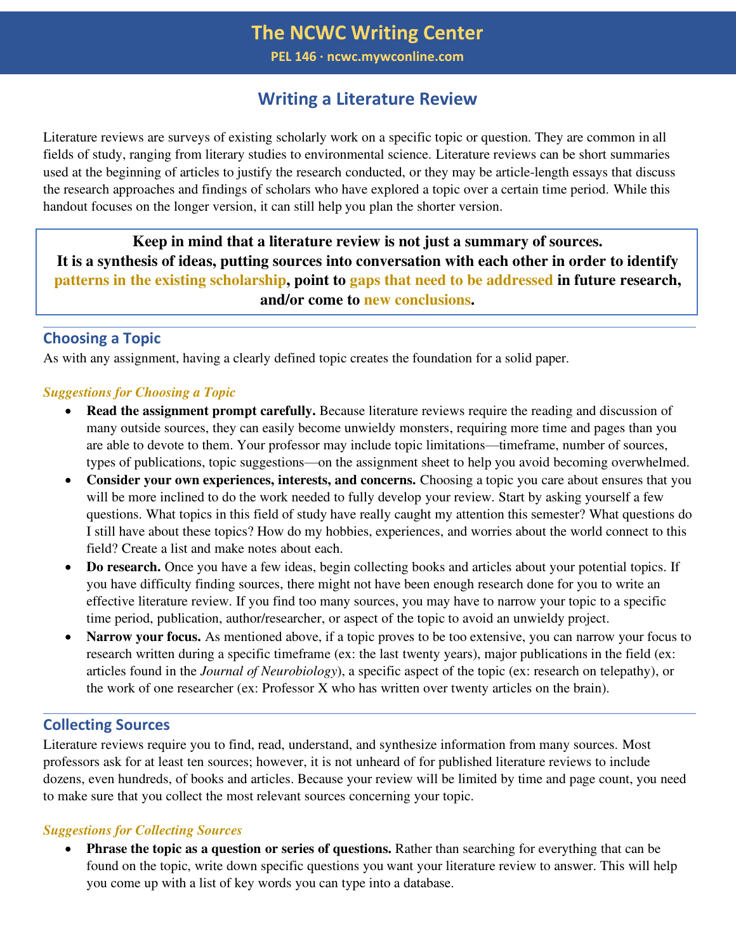# **The NCWC Writing Center**

**PEL 146 ∙ ncwc.mywconline.com**

# **Writing a Literature Review**

Literature reviews are surveys of existing scholarly work on a specific topic or question. They are common in all fields of study, ranging from literary studies to environmental science. Literature reviews can be short summaries used at the beginning of articles to justify the research conducted, or they may be article-length essays that discuss the research approaches and findings of scholars who have explored a topic over a certain time period. While this handout focuses on the longer version, it can still help you plan the shorter version.

**Keep in mind that a literature review is not just a summary of sources. It is a synthesis of ideas, putting sources into conversation with each other in order to identify patterns in the existing scholarship, point to gaps that need to be addressed in future research, and/or come to new conclusions.** 

# **Choosing a Topic**

As with any assignment, having a clearly defined topic creates the foundation for a solid paper.

#### *Suggestions for Choosing a Topic*

- **Read the assignment prompt carefully.** Because literature reviews require the reading and discussion of many outside sources, they can easily become unwieldy monsters, requiring more time and pages than you are able to devote to them. Your professor may include topic limitations—timeframe, number of sources, types of publications, topic suggestions—on the assignment sheet to help you avoid becoming overwhelmed.
- **Consider your own experiences, interests, and concerns.** Choosing a topic you care about ensures that you will be more inclined to do the work needed to fully develop your review. Start by asking yourself a few questions. What topics in this field of study have really caught my attention this semester? What questions do I still have about these topics? How do my hobbies, experiences, and worries about the world connect to this field? Create a list and make notes about each.
- **Do research.** Once you have a few ideas, begin collecting books and articles about your potential topics. If you have difficulty finding sources, there might not have been enough research done for you to write an effective literature review. If you find too many sources, you may have to narrow your topic to a specific time period, publication, author/researcher, or aspect of the topic to avoid an unwieldy project.
- **Narrow your focus.** As mentioned above, if a topic proves to be too extensive, you can narrow your focus to research written during a specific timeframe (ex: the last twenty years), major publications in the field (ex: articles found in the *Journal of Neurobiology*), a specific aspect of the topic (ex: research on telepathy), or the work of one researcher (ex: Professor X who has written over twenty articles on the brain).

# **Collecting Sources**

Literature reviews require you to find, read, understand, and synthesize information from many sources. Most professors ask for at least ten sources; however, it is not unheard of for published literature reviews to include dozens, even hundreds, of books and articles. Because your review will be limited by time and page count, you need to make sure that you collect the most relevant sources concerning your topic.

#### *Suggestions for Collecting Sources*

**Phrase the topic as a question or series of questions.** Rather than searching for everything that can be found on the topic, write down specific questions you want your literature review to answer. This will help you come up with a list of key words you can type into a database.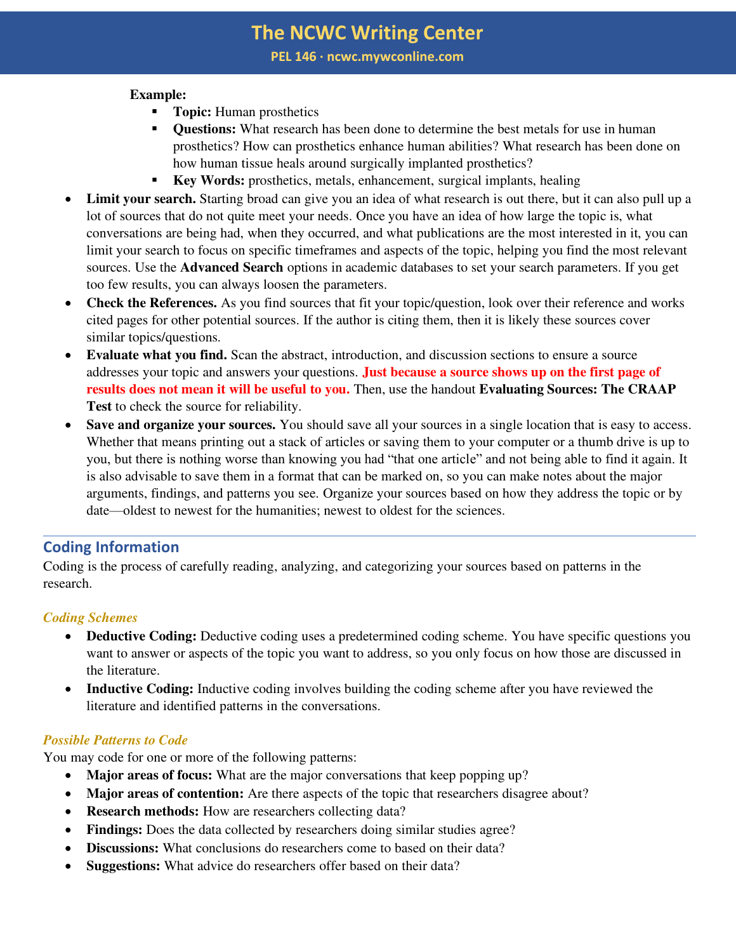**PEL 146 ∙ ncwc.mywconline.com**

### **Example:**

- **Topic:** Human prosthetics
- **Ouestions:** What research has been done to determine the best metals for use in human prosthetics? How can prosthetics enhance human abilities? What research has been done on how human tissue heals around surgically implanted prosthetics?
- **Key Words:** prosthetics, metals, enhancement, surgical implants, healing
- **Limit your search.** Starting broad can give you an idea of what research is out there, but it can also pull up a lot of sources that do not quite meet your needs. Once you have an idea of how large the topic is, what conversations are being had, when they occurred, and what publications are the most interested in it, you can limit your search to focus on specific timeframes and aspects of the topic, helping you find the most relevant sources. Use the **Advanced Search** options in academic databases to set your search parameters. If you get too few results, you can always loosen the parameters.
- **Check the References.** As you find sources that fit your topic/question, look over their reference and works cited pages for other potential sources. If the author is citing them, then it is likely these sources cover similar topics/questions.
- **Evaluate what you find.** Scan the abstract, introduction, and discussion sections to ensure a source addresses your topic and answers your questions. **Just because a source shows up on the first page of results does not mean it will be useful to you.** Then, use the handout **Evaluating Sources: The CRAAP Test** to check the source for reliability.
- **Save and organize your sources.** You should save all your sources in a single location that is easy to access. Whether that means printing out a stack of articles or saving them to your computer or a thumb drive is up to you, but there is nothing worse than knowing you had "that one article" and not being able to find it again. It is also advisable to save them in a format that can be marked on, so you can make notes about the major arguments, findings, and patterns you see. Organize your sources based on how they address the topic or by date—oldest to newest for the humanities; newest to oldest for the sciences.

# **Coding Information**

Coding is the process of carefully reading, analyzing, and categorizing your sources based on patterns in the research.

# *Coding Schemes*

- **Deductive Coding:** Deductive coding uses a predetermined coding scheme. You have specific questions you want to answer or aspects of the topic you want to address, so you only focus on how those are discussed in the literature.
- **Inductive Coding:** Inductive coding involves building the coding scheme after you have reviewed the literature and identified patterns in the conversations.

# *Possible Patterns to Code*

You may code for one or more of the following patterns:

- **Major areas of focus:** What are the major conversations that keep popping up?
- Major areas of contention: Are there aspects of the topic that researchers disagree about?
- **Research methods:** How are researchers collecting data?
- **Findings:** Does the data collected by researchers doing similar studies agree?
- **Discussions:** What conclusions do researchers come to based on their data?
- **Suggestions:** What advice do researchers offer based on their data?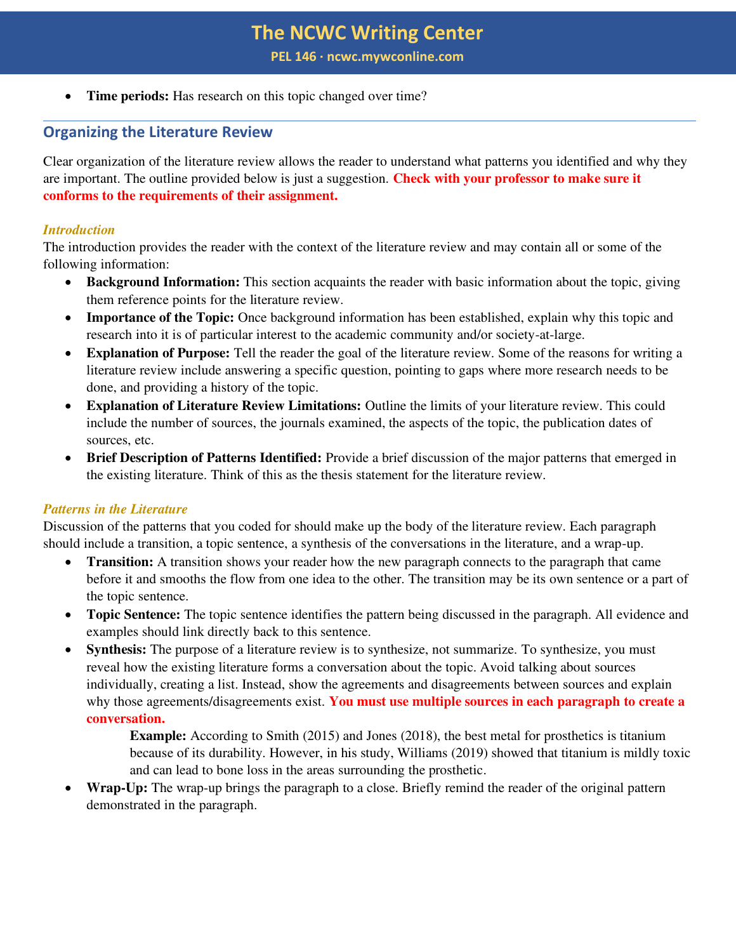**PEL 146 ∙ ncwc.mywconline.com**

• **Time periods:** Has research on this topic changed over time?

# **Organizing the Literature Review**

Clear organization of the literature review allows the reader to understand what patterns you identified and why they are important. The outline provided below is just a suggestion. **Check with your professor to make sure it conforms to the requirements of their assignment.** 

### *Introduction*

The introduction provides the reader with the context of the literature review and may contain all or some of the following information:

- **Background Information:** This section acquaints the reader with basic information about the topic, giving them reference points for the literature review.
- **Importance of the Topic:** Once background information has been established, explain why this topic and research into it is of particular interest to the academic community and/or society-at-large.
- **Explanation of Purpose:** Tell the reader the goal of the literature review. Some of the reasons for writing a literature review include answering a specific question, pointing to gaps where more research needs to be done, and providing a history of the topic.
- **Explanation of Literature Review Limitations:** Outline the limits of your literature review. This could include the number of sources, the journals examined, the aspects of the topic, the publication dates of sources, etc.
- **Brief Description of Patterns Identified:** Provide a brief discussion of the major patterns that emerged in the existing literature. Think of this as the thesis statement for the literature review.

#### *Patterns in the Literature*

Discussion of the patterns that you coded for should make up the body of the literature review. Each paragraph should include a transition, a topic sentence, a synthesis of the conversations in the literature, and a wrap-up.

- **Transition:** A transition shows your reader how the new paragraph connects to the paragraph that came before it and smooths the flow from one idea to the other. The transition may be its own sentence or a part of the topic sentence.
- **Topic Sentence:** The topic sentence identifies the pattern being discussed in the paragraph. All evidence and examples should link directly back to this sentence.
- Synthesis: The purpose of a literature review is to synthesize, not summarize. To synthesize, you must reveal how the existing literature forms a conversation about the topic. Avoid talking about sources individually, creating a list. Instead, show the agreements and disagreements between sources and explain why those agreements/disagreements exist. **You must use multiple sources in each paragraph to create a conversation.**

**Example:** According to Smith (2015) and Jones (2018), the best metal for prosthetics is titanium because of its durability. However, in his study, Williams (2019) showed that titanium is mildly toxic and can lead to bone loss in the areas surrounding the prosthetic.

• **Wrap-Up:** The wrap-up brings the paragraph to a close. Briefly remind the reader of the original pattern demonstrated in the paragraph.